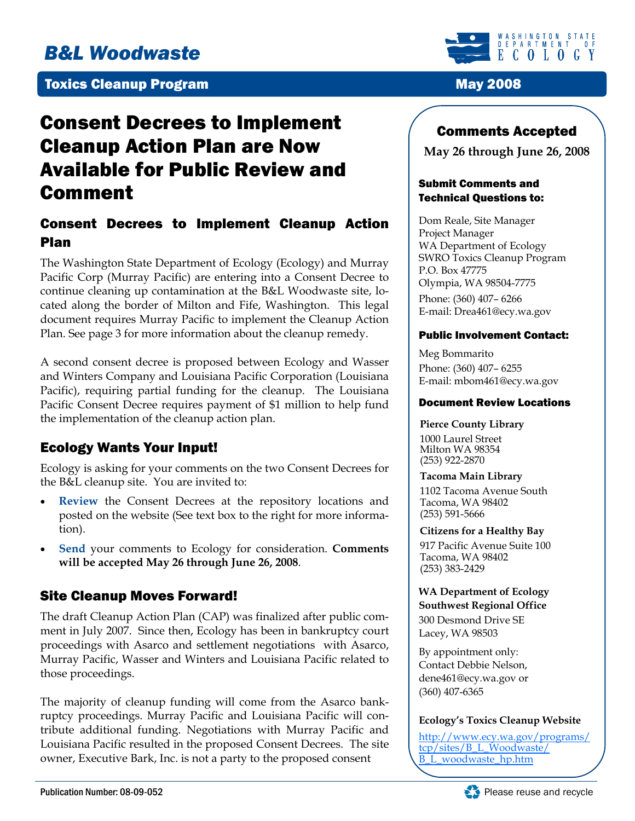# *B&L Woodwaste*

### **Toxics Cleanup Program May 2008**

# Consent Decrees to Implement Cleanup Action Plan are Now Available for Public Review and Comment

# Consent Decrees to Implement Cleanup Action Plan

The Washington State Department of Ecology (Ecology) and Murray Pacific Corp (Murray Pacific) are entering into a Consent Decree to continue cleaning up contamination at the B&L Woodwaste site, located along the border of Milton and Fife, Washington. This legal document requires Murray Pacific to implement the Cleanup Action Plan. See page 3 for more information about the cleanup remedy.

A second consent decree is proposed between Ecology and Wasser and Winters Company and Louisiana Pacific Corporation (Louisiana Pacific), requiring partial funding for the cleanup. The Louisiana Pacific Consent Decree requires payment of \$1 million to help fund the implementation of the cleanup action plan.

# Ecology Wants Your Input!

Ecology is asking for your comments on the two Consent Decrees for the B&L cleanup site. You are invited to:

- **Review** the Consent Decrees at the repository locations and posted on the website (See text box to the right for more information).
- **Send** your comments to Ecology for consideration. **Comments will be accepted May 26 through June 26, 2008**.

## Site Cleanup Moves Forward!

The draft Cleanup Action Plan (CAP) was finalized after public comment in July 2007. Since then, Ecology has been in bankruptcy court proceedings with Asarco and settlement negotiations with Asarco, Murray Pacific, Wasser and Winters and Louisiana Pacific related to those proceedings.

The majority of cleanup funding will come from the Asarco bankruptcy proceedings. Murray Pacific and Louisiana Pacific will contribute additional funding. Negotiations with Murray Pacific and Louisiana Pacific resulted in the proposed Consent Decrees. The site owner, Executive Bark, Inc. is not a party to the proposed consent



# Comments Accepted

**May 26 through June 26, 2008** 

#### Submit Comments and Technical Questions to:

Dom Reale, Site Manager Project Manager WA Department of Ecology SWRO Toxics Cleanup Program P.O. Box 47775 Olympia, WA 98504-7775

Phone: (360) 407– 6266 E-mail: Drea461@ecy.wa.gov

#### Public Involvement Contact:

Meg Bommarito Phone: (360) 407– 6255 E-mail: mbom461@ecy.wa.gov

#### Document Review Locations

#### **Pierce County Library**

 1000 Laurel Street Milton WA 98354 (253) 922-2870

#### **Tacoma Main Library**

 1102 Tacoma Avenue South Tacoma, WA 98402 (253) 591-5666

#### **Citizens for a Healthy Bay**

 917 Pacific Avenue Suite 100 Tacoma, WA 98402 (253) 383-2429

#### **WA Department of Ecology Southwest Regional Office**

300 Desmond Drive SE Lacey, WA 98503

By appointment only: Contact Debbie Nelson, dene461@ecy.wa.gov or (360) 407-6365

#### **Ecology's Toxics Cleanup Website**

http://www.ecy.wa.gov/programs/ tcp/sites/B\_L\_Woodwaste/ B\_L\_woodwaste\_hp.htm

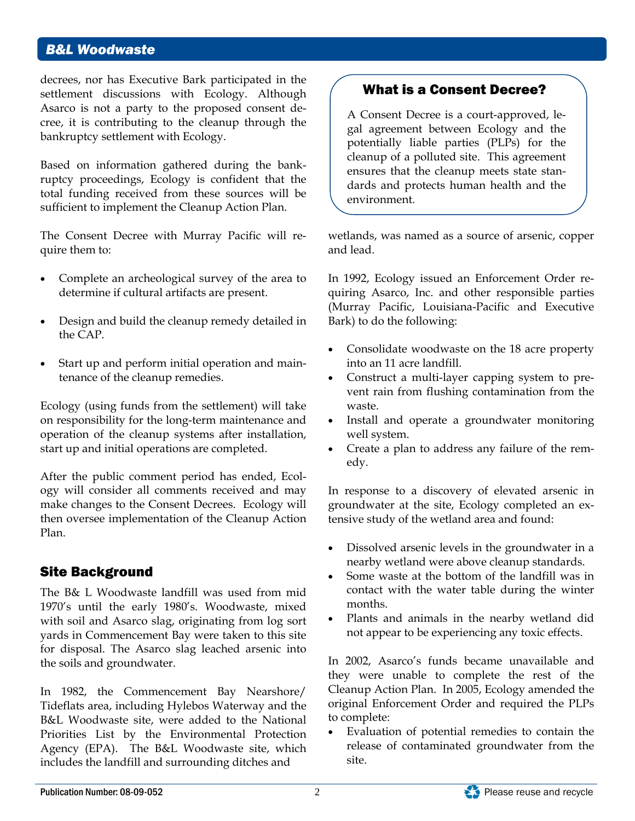### *B&L Woodwaste*

decrees, nor has Executive Bark participated in the settlement discussions with Ecology. Although Asarco is not a party to the proposed consent decree, it is contributing to the cleanup through the bankruptcy settlement with Ecology.

Based on information gathered during the bankruptcy proceedings, Ecology is confident that the total funding received from these sources will be sufficient to implement the Cleanup Action Plan.

The Consent Decree with Murray Pacific will require them to:

- Complete an archeological survey of the area to determine if cultural artifacts are present.
- Design and build the cleanup remedy detailed in the CAP.
- Start up and perform initial operation and maintenance of the cleanup remedies.

Ecology (using funds from the settlement) will take on responsibility for the long-term maintenance and operation of the cleanup systems after installation, start up and initial operations are completed.

After the public comment period has ended, Ecology will consider all comments received and may make changes to the Consent Decrees. Ecology will then oversee implementation of the Cleanup Action Plan.

## Site Background

The B& L Woodwaste landfill was used from mid 1970's until the early 1980's. Woodwaste, mixed with soil and Asarco slag, originating from log sort yards in Commencement Bay were taken to this site for disposal. The Asarco slag leached arsenic into the soils and groundwater.

In 1982, the Commencement Bay Nearshore/ Tideflats area, including Hylebos Waterway and the B&L Woodwaste site, were added to the National Priorities List by the Environmental Protection Agency (EPA). The B&L Woodwaste site, which includes the landfill and surrounding ditches and

# What is a Consent Decree?

A Consent Decree is a court-approved, legal agreement between Ecology and the potentially liable parties (PLPs) for the cleanup of a polluted site. This agreement ensures that the cleanup meets state standards and protects human health and the environment.

wetlands, was named as a source of arsenic, copper and lead.

In 1992, Ecology issued an Enforcement Order requiring Asarco, Inc. and other responsible parties (Murray Pacific, Louisiana-Pacific and Executive Bark) to do the following:

- Consolidate woodwaste on the 18 acre property into an 11 acre landfill.
- Construct a multi-layer capping system to prevent rain from flushing contamination from the waste.
- Install and operate a groundwater monitoring well system.
- Create a plan to address any failure of the remedy.

In response to a discovery of elevated arsenic in groundwater at the site, Ecology completed an extensive study of the wetland area and found:

- Dissolved arsenic levels in the groundwater in a nearby wetland were above cleanup standards.
- Some waste at the bottom of the landfill was in contact with the water table during the winter months.
- Plants and animals in the nearby wetland did not appear to be experiencing any toxic effects.

In 2002, Asarco's funds became unavailable and they were unable to complete the rest of the Cleanup Action Plan. In 2005, Ecology amended the original Enforcement Order and required the PLPs to complete:

Evaluation of potential remedies to contain the release of contaminated groundwater from the site.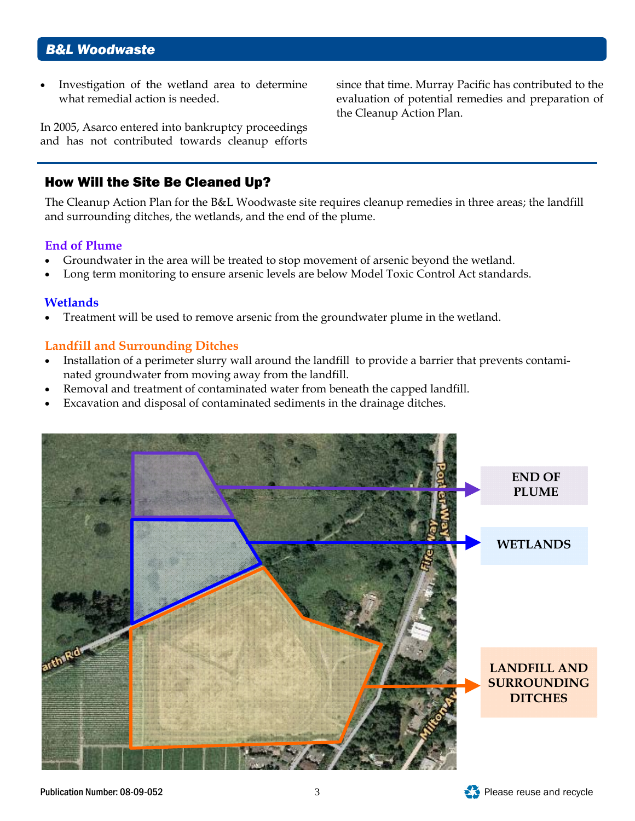Investigation of the wetland area to determine what remedial action is needed.

In 2005, Asarco entered into bankruptcy proceedings and has not contributed towards cleanup efforts

### How Will the Site Be Cleaned Up?

The Cleanup Action Plan for the B&L Woodwaste site requires cleanup remedies in three areas; the landfill and surrounding ditches, the wetlands, and the end of the plume.

### **End of Plume**

- Groundwater in the area will be treated to stop movement of arsenic beyond the wetland.
- Long term monitoring to ensure arsenic levels are below Model Toxic Control Act standards.

### **Wetlands**

• Treatment will be used to remove arsenic from the groundwater plume in the wetland.

### **Landfill and Surrounding Ditches**

- Installation of a perimeter slurry wall around the landfill to provide a barrier that prevents contaminated groundwater from moving away from the landfill.
- Removal and treatment of contaminated water from beneath the capped landfill.
- Excavation and disposal of contaminated sediments in the drainage ditches.



since that time. Murray Pacific has contributed to the evaluation of potential remedies and preparation of the Cleanup Action Plan.